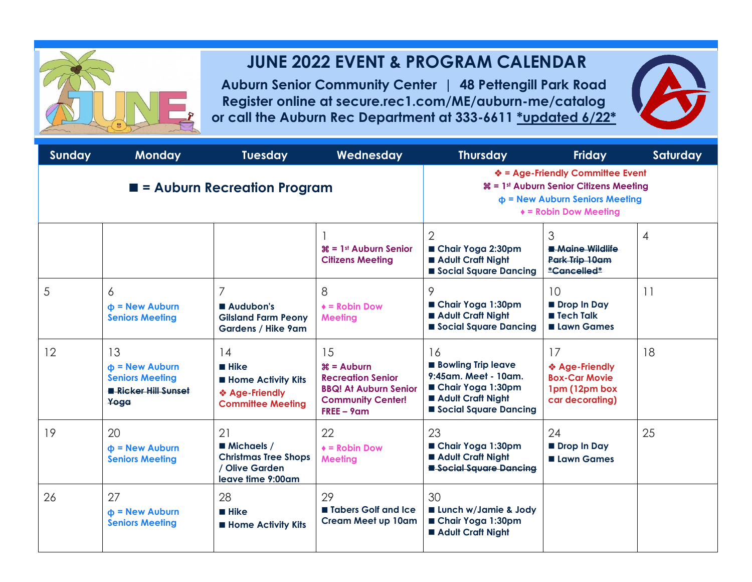## .

## **JUNE 2022 EVENT & PROGRAM CALENDAR**

**Auburn Senior Community Center | 48 Pettengill Park Road Register online at secure.rec1.com/ME/auburn-me/catalog or call the Auburn Rec Department at 333-6611 \*updated 6/22\***



| Sunday                                     | <b>Monday</b>                                                                              | <b>Tuesday</b>                                                                                | Wednesday                                                                                                                            | <b>Thursday</b>                                                                                                                                                                     | <b>Friday</b>                                                                    | Saturday       |
|--------------------------------------------|--------------------------------------------------------------------------------------------|-----------------------------------------------------------------------------------------------|--------------------------------------------------------------------------------------------------------------------------------------|-------------------------------------------------------------------------------------------------------------------------------------------------------------------------------------|----------------------------------------------------------------------------------|----------------|
| $\blacksquare$ = Auburn Recreation Program |                                                                                            |                                                                                               |                                                                                                                                      | ❖ = Age-Friendly Committee Event<br><b><math>\mathcal{H} = 1</math>st Auburn Senior Citizens Meeting</b><br>$\Phi$ = New Auburn Seniors Meeting<br>$\triangleq$ = Robin Dow Meeting |                                                                                  |                |
|                                            |                                                                                            |                                                                                               | $\mathcal{H} = 1$ <sup>st</sup> Auburn Senior<br><b>Citizens Meeting</b>                                                             | $\mathcal{P}$<br>■ Chair Yoga 2:30pm<br>Adult Craft Night<br>Social Square Dancing                                                                                                  | 3<br><b>A</b> dine Wildlife<br>Park Trip 10am<br>*Cancelled*                     | $\overline{4}$ |
| 5                                          | 6<br>$\Phi$ = New Auburn<br><b>Seniors Meeting</b>                                         | 7<br>Audubon's<br><b>Gilsland Farm Peony</b><br>Gardens / Hike 9am                            | 8<br>$\triangle$ = Robin Dow<br><b>Meeting</b>                                                                                       | 9<br>Chair Yoga 1:30pm<br>Adult Craft Night<br>Social Square Dancing                                                                                                                | 10<br>Drop In Day<br><b>Tech Talk</b><br><b>Lawn Games</b>                       | 11             |
| 12                                         | 13<br>$\Phi$ = New Auburn<br><b>Seniors Meeting</b><br><b>R</b> Ricker Hill Sunset<br>Yoga | 14<br>■ Hike<br><b>Home Activity Kits</b><br>❖ Age-Friendly<br><b>Committee Meeting</b>       | 15<br>$\mathcal{E}$ = Auburn<br><b>Recreation Senior</b><br><b>BBQ! At Auburn Senior</b><br><b>Community Center!</b><br>$FREE - 9am$ | 16<br><b>Bowling Trip leave</b><br>9:45am. Meet - 10am.<br>Chair Yoga 1:30pm<br>Adult Craft Night<br>Social Square Dancing                                                          | 17<br>❖ Age-Friendly<br><b>Box-Car Movie</b><br>1pm (12pm box<br>car decorating) | 18             |
| 19                                         | 20<br>$\Phi$ = New Auburn<br><b>Seniors Meeting</b>                                        | 21<br><b>Michaels /</b><br><b>Christmas Tree Shops</b><br>/ Olive Garden<br>leave time 9:00am | 22<br>$\triangle$ = Robin Dow<br><b>Meeting</b>                                                                                      | 23<br>Chair Yoga 1:30pm<br>Adult Craft Night<br>Social Square Dancing                                                                                                               | 24<br>Drop In Day<br><b>Lawn Games</b>                                           | 25             |
| 26                                         | 27<br>$\Phi$ = New Auburn<br><b>Seniors Meeting</b>                                        | 28<br>■ Hike<br><b>Home Activity Kits</b>                                                     | 29<br><b>Tabers Golf and Ice</b><br><b>Cream Meet up 10am</b>                                                                        | 30<br><b>Lunch w/Jamie &amp; Jody</b><br>Chair Yoga 1:30pm<br>Adult Craft Night                                                                                                     |                                                                                  |                |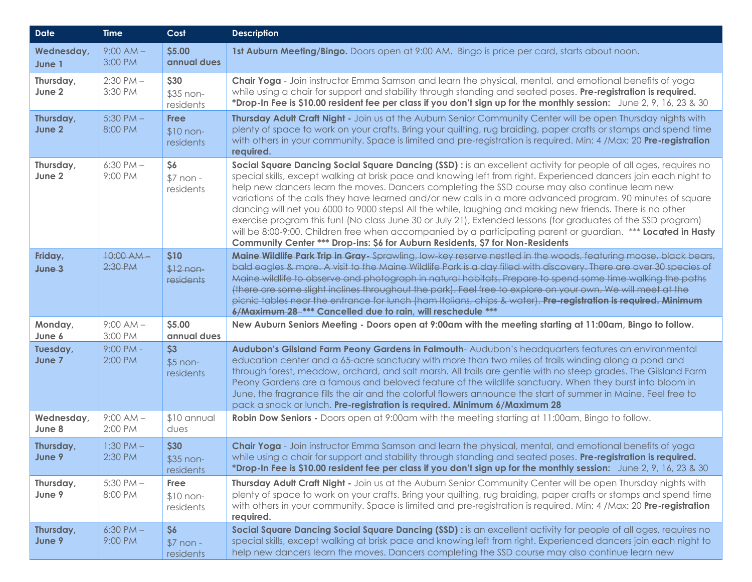| <b>Date</b>            | <b>Time</b>              | Cost                                   | <b>Description</b>                                                                                                                                                                                                                                                                                                                                                                                                                                                                                                                                                                                                                                                                                                                                                                                                                                                                       |
|------------------------|--------------------------|----------------------------------------|------------------------------------------------------------------------------------------------------------------------------------------------------------------------------------------------------------------------------------------------------------------------------------------------------------------------------------------------------------------------------------------------------------------------------------------------------------------------------------------------------------------------------------------------------------------------------------------------------------------------------------------------------------------------------------------------------------------------------------------------------------------------------------------------------------------------------------------------------------------------------------------|
| Wednesday,<br>June 1   | $9:00 AM -$<br>3:00 PM   | \$5.00<br>annual dues                  | 1st Auburn Meeting/Bingo. Doors open at 9:00 AM. Bingo is price per card, starts about noon.                                                                                                                                                                                                                                                                                                                                                                                                                                                                                                                                                                                                                                                                                                                                                                                             |
| Thursday,<br>June 2    | $2:30$ PM $-$<br>3:30 PM | \$30<br>\$35 non-<br>residents         | Chair Yoga - Join instructor Emma Samson and learn the physical, mental, and emotional benefits of yoga<br>while using a chair for support and stability through standing and seated poses. Pre-registration is required.<br>*Drop-In Fee is \$10.00 resident fee per class if you don't sign up for the monthly session: June 2, 9, 16, 23 & 30                                                                                                                                                                                                                                                                                                                                                                                                                                                                                                                                         |
| Thursday,<br>June 2    | $5:30$ PM $-$<br>8:00 PM | <b>Free</b><br>$$10 non-$<br>residents | Thursday Adult Craft Night - Join us at the Auburn Senior Community Center will be open Thursday nights with<br>plenty of space to work on your crafts. Bring your quilting, rug braiding, paper crafts or stamps and spend time<br>with others in your community. Space is limited and pre-registration is required. Min: 4 /Max: 20 Pre-registration<br>required.                                                                                                                                                                                                                                                                                                                                                                                                                                                                                                                      |
| Thursday,<br>June 2    | $6:30$ PM $-$<br>9:00 PM | \$6<br>$$7$ non -<br>residents         | Social Square Dancing Social Square Dancing (SSD) : is an excellent activity for people of all ages, requires no<br>special skills, except walking at brisk pace and knowing left from right. Experienced dancers join each night to<br>help new dancers learn the moves. Dancers completing the SSD course may also continue learn new<br>variations of the calls they have learned and/or new calls in a more advanced program. 90 minutes of square<br>dancing will net you 6000 to 9000 steps! All the while, laughing and making new friends. There is no other<br>exercise program this fun! (No class June 30 or July 21), Extended lessons (for graduates of the SSD program)<br>will be 8:00-9:00. Children free when accompanied by a participating parent or guardian. *** Located in Hasty<br>Community Center *** Drop-ins: \$6 for Auburn Residents, \$7 for Non-Residents |
| Friday,<br>$J$ une $3$ | 10:00 AM-<br>2:30 P M    | \$10<br>$$12 non-$<br>residents        | Maine Wildlife Park Trip in Gray-Sprawling, low key reserve nestled in the woods, featuring moose, black bears,<br>bald eagles & more. A visit to the Maine Wildlife Park is a day filled with discovery. There are over 30 species of<br>Maine wildlife to observe and photograph in natural habitats. Prepare to spend some time walking the paths<br>(there are some slight inclines throughout the park). Feel free to explore on your own. We will meet at the<br>picnic tables near the entrance for lunch (ham Italians, chips & water). Pre-registration is required. Minimum<br>6/Maximum 28 -*** Cancelled due to rain, will reschedule ***                                                                                                                                                                                                                                    |
| Monday,<br>June 6      | $9:00 AM -$<br>3:00 PM   | \$5.00<br>annual dues                  | New Auburn Seniors Meeting - Doors open at 9:00am with the meeting starting at 11:00am, Bingo to follow.                                                                                                                                                                                                                                                                                                                                                                                                                                                                                                                                                                                                                                                                                                                                                                                 |
| Tuesday,<br>June 7     | $9:00$ PM -<br>2:00 PM   | \$3<br>$$5$ non-<br>residents          | Audubon's Gilsland Farm Peony Gardens in Falmouth-Audubon's headquarters features an environmental<br>education center and a 65-acre sanctuary with more than two miles of trails winding along a pond and<br>through forest, meadow, orchard, and salt marsh. All trails are gentle with no steep grades. The Gilsland Farm<br>Peony Gardens are a famous and beloved feature of the wildlife sanctuary. When they burst into bloom in<br>June, the fragrance fills the air and the colorful flowers announce the start of summer in Maine. Feel free to<br>pack a snack or lunch. Pre-registration is required. Minimum 6/Maximum 28                                                                                                                                                                                                                                                   |
| Wednesday,<br>June 8   | $9:00 AM -$<br>2:00 PM   | \$10 annual<br>dues                    | Robin Dow Seniors - Doors open at 9:00am with the meeting starting at 11:00am, Bingo to follow.                                                                                                                                                                                                                                                                                                                                                                                                                                                                                                                                                                                                                                                                                                                                                                                          |
| Thursday,<br>June 9    | $1:30$ PM $-$<br>2:30 PM | \$30<br>\$35 non-<br>residents         | Chair Yoga - Join instructor Emma Samson and learn the physical, mental, and emotional benefits of yoga<br>while using a chair for support and stability through standing and seated poses. Pre-registration is required.<br>*Drop-In Fee is \$10.00 resident fee per class if you don't sign up for the monthly session: June 2, 9, 16, 23 & 30                                                                                                                                                                                                                                                                                                                                                                                                                                                                                                                                         |
| Thursday,<br>June 9    | $5:30$ PM $-$<br>8:00 PM | Free<br>$$10 non-$<br>residents        | Thursday Adult Craft Night - Join us at the Auburn Senior Community Center will be open Thursday nights with<br>plenty of space to work on your crafts. Bring your quilting, rug braiding, paper crafts or stamps and spend time<br>with others in your community. Space is limited and pre-registration is required. Min: 4 /Max: 20 Pre-registration<br>required.                                                                                                                                                                                                                                                                                                                                                                                                                                                                                                                      |
| Thursday,<br>June 9    | $6:30$ PM $-$<br>9:00 PM | \$6<br>$$7$ non -<br>residents         | Social Square Dancing Social Square Dancing (SSD) : is an excellent activity for people of all ages, requires no<br>special skills, except walking at brisk pace and knowing left from right. Experienced dancers join each night to<br>help new dancers learn the moves. Dancers completing the SSD course may also continue learn new                                                                                                                                                                                                                                                                                                                                                                                                                                                                                                                                                  |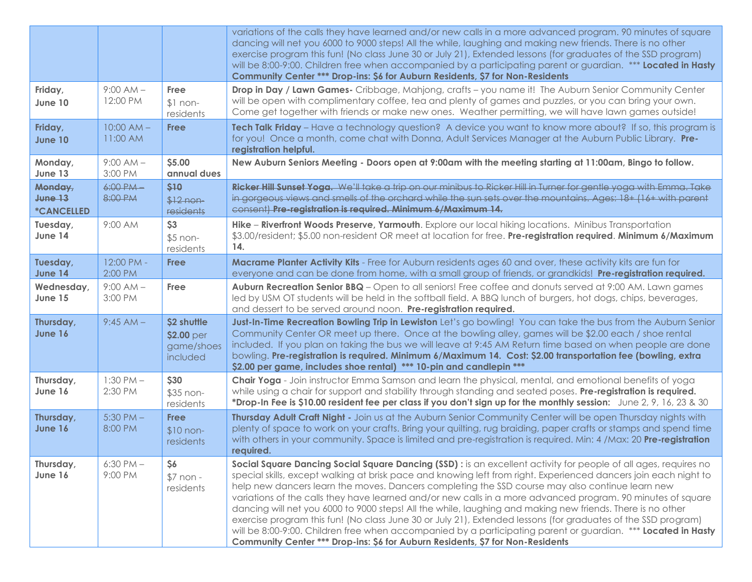|                                                           |                          |                                                     | variations of the calls they have learned and/or new calls in a more advanced program. 90 minutes of square<br>dancing will net you 6000 to 9000 steps! All the while, laughing and making new friends. There is no other<br>exercise program this fun! (No class June 30 or July 21), Extended lessons (for graduates of the SSD program)<br>will be 8:00-9:00. Children free when accompanied by a participating parent or guardian. *** Located in Hasty<br>Community Center *** Drop-ins: \$6 for Auburn Residents, \$7 for Non-Residents                                                                                                                                                                                                                                                                                                                                            |  |
|-----------------------------------------------------------|--------------------------|-----------------------------------------------------|------------------------------------------------------------------------------------------------------------------------------------------------------------------------------------------------------------------------------------------------------------------------------------------------------------------------------------------------------------------------------------------------------------------------------------------------------------------------------------------------------------------------------------------------------------------------------------------------------------------------------------------------------------------------------------------------------------------------------------------------------------------------------------------------------------------------------------------------------------------------------------------|--|
| Friday,<br>June 10                                        | $9:00 AM -$<br>12:00 PM  | Free<br>$$1 non-$<br>residents                      | Drop in Day / Lawn Games- Cribbage, Mahjong, crafts - you name it! The Auburn Senior Community Center<br>will be open with complimentary coffee, tea and plenty of games and puzzles, or you can bring your own.<br>Come get together with friends or make new ones. Weather permitting, we will have lawn games outside!                                                                                                                                                                                                                                                                                                                                                                                                                                                                                                                                                                |  |
| Friday,<br><b>June 10</b>                                 | $10:00 AM -$<br>11:00 AM | <b>Free</b>                                         | Tech Talk Friday - Have a technology question? A device you want to know more about? If so, this program is<br>for you! Once a month, come chat with Donna, Adult Services Manager at the Auburn Public Library. Pre-<br>registration helpful.                                                                                                                                                                                                                                                                                                                                                                                                                                                                                                                                                                                                                                           |  |
| Monday,<br>June 13                                        | $9:00 AM -$<br>3:00 PM   | \$5.00<br>annual dues                               | New Auburn Seniors Meeting - Doors open at 9:00am with the meeting starting at 11:00am, Bingo to follow.                                                                                                                                                                                                                                                                                                                                                                                                                                                                                                                                                                                                                                                                                                                                                                                 |  |
| Monday,<br>June <sub>13</sub><br><i><b>*CANCELLED</b></i> | $6:00$ PM $-$<br>8:00 PM | \$10<br>$$12$ non-<br>residents                     | Ricker Hill Sunset Yoga. We'll take a trip on our minibus to Ricker Hill in Turner for gentle yoga with Emma. Take<br>in gorgeous views and smells of the orchard while the sun sets over the mountains. Ages: 18+ (16+ with parent<br>consent) Pre-registration is required. Minimum 6/Maximum 14.                                                                                                                                                                                                                                                                                                                                                                                                                                                                                                                                                                                      |  |
| Tuesday,<br>June 14                                       | 9:00 AM                  | \$3<br>$$5$ non-<br>residents                       | Hike - Riverfront Woods Preserve, Yarmouth. Explore our local hiking locations. Minibus Transportation<br>\$3.00/resident; \$5.00 non-resident OR meet at location for free. Pre-registration required. Minimum 6/Maximum<br>14.                                                                                                                                                                                                                                                                                                                                                                                                                                                                                                                                                                                                                                                         |  |
| Tuesday,<br>June 14                                       | 12:00 PM -<br>2:00 PM    | <b>Free</b>                                         | Macrame Planter Activity Kits - Free for Auburn residents ages 60 and over, these activity kits are fun for<br>everyone and can be done from home, with a small group of friends, or grandkids! Pre-registration required.                                                                                                                                                                                                                                                                                                                                                                                                                                                                                                                                                                                                                                                               |  |
| Wednesday,<br>June 15                                     | $9:00 AM -$<br>3:00 PM   | <b>Free</b>                                         | Auburn Recreation Senior BBQ - Open to all seniors! Free coffee and donuts served at 9:00 AM. Lawn games<br>led by USM OT students will be held in the softball field. A BBQ lunch of burgers, hot dogs, chips, beverages,<br>and dessert to be served around noon. Pre-registration required.                                                                                                                                                                                                                                                                                                                                                                                                                                                                                                                                                                                           |  |
| Thursday,<br>June 16                                      | $9:45 AM -$              | \$2 shuttle<br>\$2.00 per<br>game/shoes<br>included | Just-In-Time Recreation Bowling Trip in Lewiston Let's go bowling! You can take the bus from the Auburn Senior<br>Community Center OR meet up there. Once at the bowling alley, games will be \$2.00 each / shoe rental<br>included. If you plan on taking the bus we will leave at 9:45 AM Return time based on when people are done<br>bowling. Pre-registration is required. Minimum 6/Maximum 14. Cost: \$2.00 transportation fee (bowling, extra<br>\$2.00 per game, includes shoe rental) *** 10-pin and candlepin ***                                                                                                                                                                                                                                                                                                                                                             |  |
| Thursday,<br>June 16                                      | $1:30$ PM $-$<br>2:30 PM | \$30<br>\$35 non-<br>residents                      | Chair Yoga - Join instructor Emma Samson and learn the physical, mental, and emotional benefits of yoga<br>while using a chair for support and stability through standing and seated poses. Pre-registration is required.<br>*Drop-In Fee is \$10.00 resident fee per class if you don't sign up for the monthly session: June 2, 9, 16, 23 & 30                                                                                                                                                                                                                                                                                                                                                                                                                                                                                                                                         |  |
| Thursday,<br>June 16                                      | $5:30$ PM $-$<br>8:00 PM | <b>Free</b><br>$$10 non-$<br>residents              | Thursday Adult Craft Night - Join us at the Auburn Senior Community Center will be open Thursday nights with<br>plenty of space to work on your crafts. Bring your quilting, rug braiding, paper crafts or stamps and spend time<br>with others in your community. Space is limited and pre-registration is required. Min: 4 /Max: 20 Pre-registration<br>required.                                                                                                                                                                                                                                                                                                                                                                                                                                                                                                                      |  |
| Thursday,<br>June 16                                      | $6:30$ PM $-$<br>9:00 PM | \$6<br>$$7$ non -<br>residents                      | Social Square Dancing Social Square Dancing (SSD) : is an excellent activity for people of all ages, requires no<br>special skills, except walking at brisk pace and knowing left from right. Experienced dancers join each night to<br>help new dancers learn the moves. Dancers completing the SSD course may also continue learn new<br>variations of the calls they have learned and/or new calls in a more advanced program. 90 minutes of square<br>dancing will net you 6000 to 9000 steps! All the while, laughing and making new friends. There is no other<br>exercise program this fun! (No class June 30 or July 21), Extended lessons (for graduates of the SSD program)<br>will be 8:00-9:00. Children free when accompanied by a participating parent or guardian. *** Located in Hasty<br>Community Center *** Drop-ins: \$6 for Auburn Residents, \$7 for Non-Residents |  |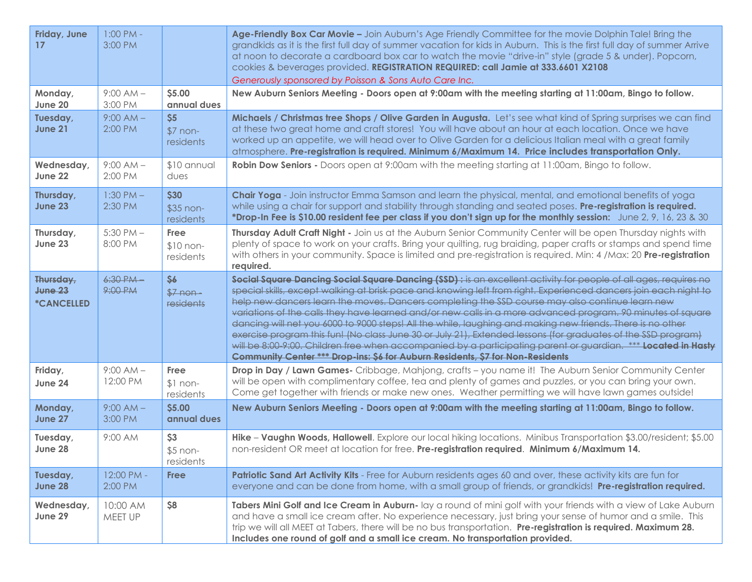| Friday, June<br>17                                          | $1:00$ PM -<br>3:00 PM   |                                 | Age-Friendly Box Car Movie - Join Auburn's Age Friendly Committee for the movie Dolphin Tale! Bring the<br>grandkids as it is the first full day of summer vacation for kids in Auburn. This is the first full day of summer Arrive<br>at noon to decorate a cardboard box car to watch the movie "drive-in" style (grade 5 & under). Popcorn,<br>cookies & beverages provided. REGISTRATION REQUIRED: call Jamie at 333.6601 X2108<br>Generously sponsored by Poisson & Sons Auto Care Inc.                                                                                                                                                                                                                                                                                                                                                                                             |
|-------------------------------------------------------------|--------------------------|---------------------------------|------------------------------------------------------------------------------------------------------------------------------------------------------------------------------------------------------------------------------------------------------------------------------------------------------------------------------------------------------------------------------------------------------------------------------------------------------------------------------------------------------------------------------------------------------------------------------------------------------------------------------------------------------------------------------------------------------------------------------------------------------------------------------------------------------------------------------------------------------------------------------------------|
| Monday,<br>June 20                                          | $9:00 AM -$<br>3:00 PM   | \$5.00<br>annual dues           | New Auburn Seniors Meeting - Doors open at 9:00am with the meeting starting at 11:00am, Bingo to follow.                                                                                                                                                                                                                                                                                                                                                                                                                                                                                                                                                                                                                                                                                                                                                                                 |
| Tuesday,<br><b>June 21</b>                                  | $9:00 AM -$<br>2:00 PM   | \$5<br>$$7$ non-<br>residents   | Michaels / Christmas tree Shops / Olive Garden in Augusta. Let's see what kind of Spring surprises we can find<br>at these two great home and craft stores! You will have about an hour at each location. Once we have<br>worked up an appetite, we will head over to Olive Garden for a delicious Italian meal with a great family<br>atmosphere. Pre-registration is required. Minimum 6/Maximum 14. Price includes transportation Only.                                                                                                                                                                                                                                                                                                                                                                                                                                               |
| Wednesday,<br>June 22                                       | $9:00 AM -$<br>2:00 PM   | \$10 annual<br>dues             | Robin Dow Seniors - Doors open at 9:00am with the meeting starting at 11:00am, Bingo to follow.                                                                                                                                                                                                                                                                                                                                                                                                                                                                                                                                                                                                                                                                                                                                                                                          |
| Thursday,<br>June 23                                        | $1:30$ PM $-$<br>2:30 PM | \$30<br>\$35 non-<br>residents  | Chair Yoga - Join instructor Emma Samson and learn the physical, mental, and emotional benefits of yoga<br>while using a chair for support and stability through standing and seated poses. Pre-registration is required.<br>*Drop-In Fee is \$10.00 resident fee per class if you don't sign up for the monthly session: June 2, 9, 16, 23 & 30                                                                                                                                                                                                                                                                                                                                                                                                                                                                                                                                         |
| Thursday,<br>June 23                                        | $5:30$ PM $-$<br>8:00 PM | Free<br>$$10 non-$<br>residents | Thursday Adult Craft Night - Join us at the Auburn Senior Community Center will be open Thursday nights with<br>plenty of space to work on your crafts. Bring your quilting, rug braiding, paper crafts or stamps and spend time<br>with others in your community. Space is limited and pre-registration is required. Min: 4 /Max: 20 Pre-registration<br>required.                                                                                                                                                                                                                                                                                                                                                                                                                                                                                                                      |
| Thursday,<br>June <sub>23</sub><br><i><b>*CANCELLED</b></i> | $6:30$ PM $-$<br>9:00 PM | \$6<br>$$7 non-$<br>residents   | Social Square Dancing Social Square Dancing (SSD) : is an excellent activity for people of all ages, requires no<br>special skills, except walking at brisk pace and knowing left from right. Experienced dancers join each night to<br>help new dancers learn the moves. Dancers completing the SSD course may also continue learn new<br>variations of the calls they have learned and/or new calls in a more advanced program. 90 minutes of square<br>dancing will net you 6000 to 9000 steps! All the while, laughing and making new friends. There is no other<br>exercise program this fun! (No class June 30 or July 21), Extended lessons (for graduates of the SSD program)<br>will be 8:00-9:00. Children free when accompanied by a participating parent or guardian. *** Located in Hasty<br>Community Center *** Drop-ins: \$6 for Auburn Residents, \$7 for Non-Residents |
| Friday,<br>June 24                                          | $9:00 AM -$<br>12:00 PM  | Free<br>$$1 non-$<br>residents  | Drop in Day / Lawn Games- Cribbage, Mahjong, crafts - you name it! The Auburn Senior Community Center<br>will be open with complimentary coffee, tea and plenty of games and puzzles, or you can bring your own.<br>Come get together with friends or make new ones. Weather permitting we will have lawn games outside!                                                                                                                                                                                                                                                                                                                                                                                                                                                                                                                                                                 |
| Monday,<br>June 27                                          | $9:00 AM -$<br>3:00 PM   | \$5.00<br>annual dues           | New Auburn Seniors Meeting - Doors open at 9:00am with the meeting starting at 11:00am, Bingo to follow.                                                                                                                                                                                                                                                                                                                                                                                                                                                                                                                                                                                                                                                                                                                                                                                 |
| Tuesday,<br>June 28                                         | 9:00 AM                  | \$3<br>$$5$ non-<br>residents   | Hike - Vaughn Woods, Hallowell. Explore our local hiking locations. Minibus Transportation \$3.00/resident; \$5.00<br>non-resident OR meet at location for free. Pre-registration required. Minimum 6/Maximum 14.                                                                                                                                                                                                                                                                                                                                                                                                                                                                                                                                                                                                                                                                        |
| Tuesday,<br>June 28                                         | 12:00 PM -<br>2:00 PM    | <b>Free</b>                     | Patriotic Sand Art Activity Kits - Free for Auburn residents ages 60 and over, these activity kits are fun for<br>everyone and can be done from home, with a small group of friends, or grandkids! Pre-registration required.                                                                                                                                                                                                                                                                                                                                                                                                                                                                                                                                                                                                                                                            |
| Wednesday,<br>June 29                                       | 10:00 AM<br>MEET UP      | \$8                             | Tabers Mini Golf and Ice Cream in Auburn- lay a round of mini golf with your friends with a view of Lake Auburn<br>and have a small ice cream after. No experience necessary, just bring your sense of humor and a smile. This<br>trip we will all MEET at Tabers, there will be no bus transportation. Pre-registration is required. Maximum 28.<br>Includes one round of golf and a small ice cream. No transportation provided.                                                                                                                                                                                                                                                                                                                                                                                                                                                       |